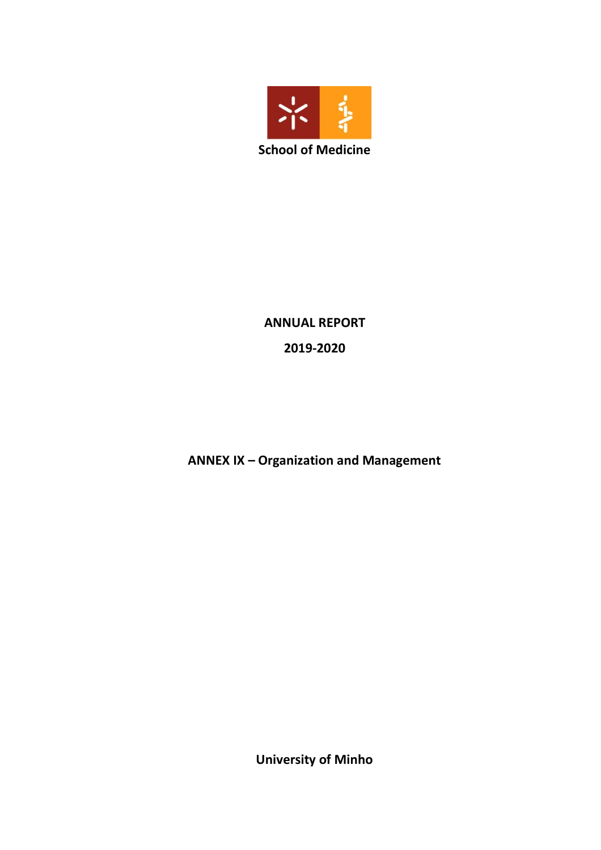

**ANNUAL REPORT 2019-2020**

**ANNEX IX – Organization and Management**

**University of Minho**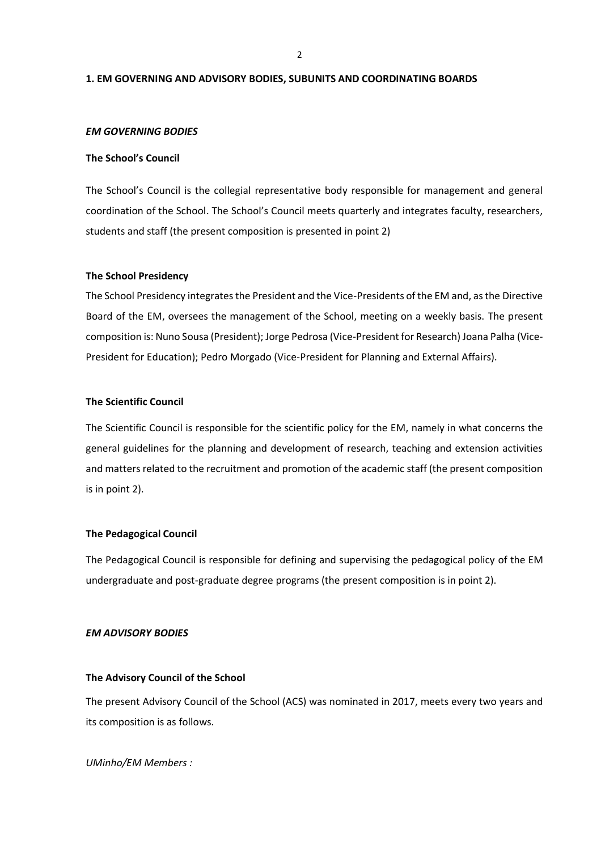2

#### **1. EM GOVERNING AND ADVISORY BODIES, SUBUNITS AND COORDINATING BOARDS**

#### *EM GOVERNING BODIES*

#### **The School's Council**

The School's Council is the collegial representative body responsible for management and general coordination of the School. The School's Council meets quarterly and integrates faculty, researchers, students and staff (the present composition is presented in point 2)

#### **The School Presidency**

The School Presidency integrates the President and the Vice-Presidents of the EM and, as the Directive Board of the EM, oversees the management of the School, meeting on a weekly basis. The present composition is: Nuno Sousa (President); Jorge Pedrosa (Vice-President for Research) Joana Palha (Vice-President for Education); Pedro Morgado (Vice-President for Planning and External Affairs).

#### **The Scientific Council**

The Scientific Council is responsible for the scientific policy for the EM, namely in what concerns the general guidelines for the planning and development of research, teaching and extension activities and matters related to the recruitment and promotion of the academic staff (the present composition is in point 2).

#### **The Pedagogical Council**

The Pedagogical Council is responsible for defining and supervising the pedagogical policy of the EM undergraduate and post-graduate degree programs (the present composition is in point 2).

#### *EM ADVISORY BODIES*

#### **The Advisory Council of the School**

The present Advisory Council of the School (ACS) was nominated in 2017, meets every two years and its composition is as follows.

*UMinho/EM Members :*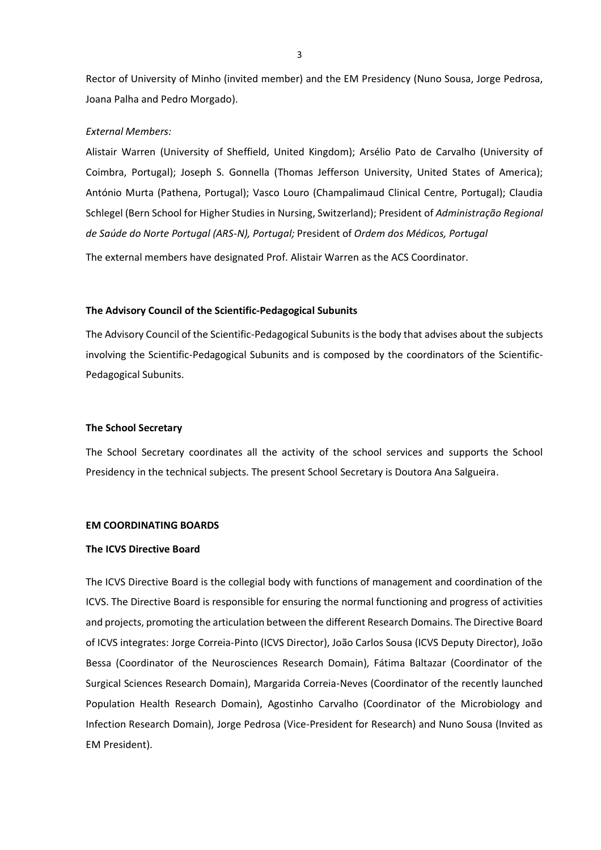Rector of University of Minho (invited member) and the EM Presidency (Nuno Sousa, Jorge Pedrosa, Joana Palha and Pedro Morgado).

#### *External Members:*

Alistair Warren (University of Sheffield, United Kingdom); Arsélio Pato de Carvalho (University of Coimbra, Portugal); Joseph S. Gonnella (Thomas Jefferson University, United States of America); António Murta (Pathena, Portugal); Vasco Louro (Champalimaud Clinical Centre, Portugal); Claudia Schlegel (Bern School for Higher Studies in Nursing, Switzerland); President of *Administração Regional de Saúde do Norte Portugal (ARS-N), Portugal;* President of *Ordem dos Médicos, Portugal*

The external members have designated Prof. Alistair Warren as the ACS Coordinator.

#### **The Advisory Council of the Scientific-Pedagogical Subunits**

The Advisory Council of the Scientific-Pedagogical Subunits is the body that advises about the subjects involving the Scientific-Pedagogical Subunits and is composed by the coordinators of the Scientific-Pedagogical Subunits.

#### **The School Secretary**

The School Secretary coordinates all the activity of the school services and supports the School Presidency in the technical subjects. The present School Secretary is Doutora Ana Salgueira.

## **EM COORDINATING BOARDS**

#### **The ICVS Directive Board**

The ICVS Directive Board is the collegial body with functions of management and coordination of the ICVS. The Directive Board is responsible for ensuring the normal functioning and progress of activities and projects, promoting the articulation between the different Research Domains. The Directive Board of ICVS integrates: Jorge Correia-Pinto (ICVS Director), João Carlos Sousa (ICVS Deputy Director), João Bessa (Coordinator of the Neurosciences Research Domain), Fátima Baltazar (Coordinator of the Surgical Sciences Research Domain), Margarida Correia-Neves (Coordinator of the recently launched Population Health Research Domain), Agostinho Carvalho (Coordinator of the Microbiology and Infection Research Domain), Jorge Pedrosa (Vice-President for Research) and Nuno Sousa (Invited as EM President).

3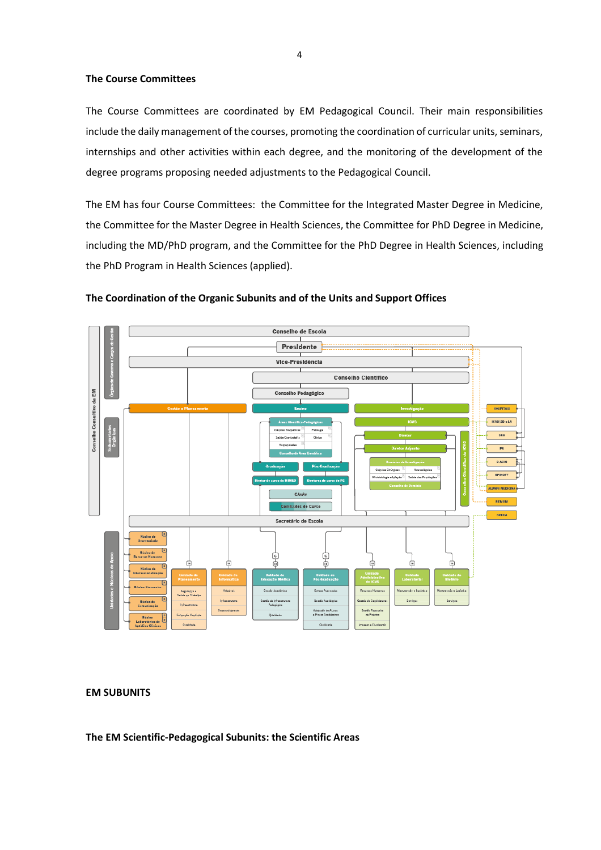## **The Course Committees**

The Course Committees are coordinated by EM Pedagogical Council. Their main responsibilities include the daily management of the courses, promoting the coordination of curricular units, seminars, internships and other activities within each degree, and the monitoring of the development of the degree programs proposing needed adjustments to the Pedagogical Council.

The EM has four Course Committees: the Committee for the Integrated Master Degree in Medicine, the Committee for the Master Degree in Health Sciences, the Committee for PhD Degree in Medicine, including the MD/PhD program, and the Committee for the PhD Degree in Health Sciences, including the PhD Program in Health Sciences (applied).



## **The Coordination of the Organic Subunits and of the Units and Support Offices**

**EM SUBUNITS**

**The EM Scientific-Pedagogical Subunits: the Scientific Areas**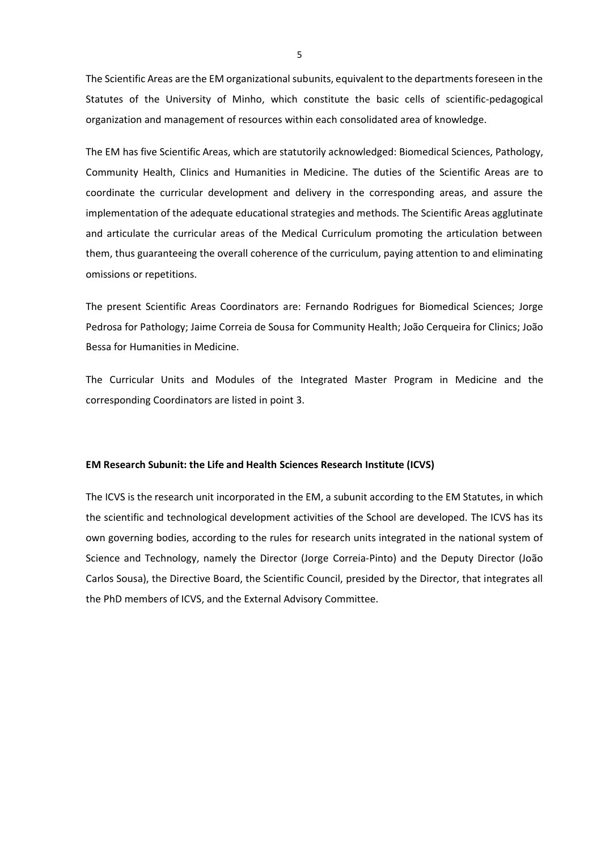The Scientific Areas are the EM organizational subunits, equivalent to the departments foreseen in the Statutes of the University of Minho, which constitute the basic cells of scientific-pedagogical organization and management of resources within each consolidated area of knowledge.

The EM has five Scientific Areas, which are statutorily acknowledged: Biomedical Sciences, Pathology, Community Health, Clinics and Humanities in Medicine. The duties of the Scientific Areas are to coordinate the curricular development and delivery in the corresponding areas, and assure the implementation of the adequate educational strategies and methods. The Scientific Areas agglutinate and articulate the curricular areas of the Medical Curriculum promoting the articulation between them, thus guaranteeing the overall coherence of the curriculum, paying attention to and eliminating omissions or repetitions.

The present Scientific Areas Coordinators are: Fernando Rodrigues for Biomedical Sciences; Jorge Pedrosa for Pathology; Jaime Correia de Sousa for Community Health; João Cerqueira for Clinics; João Bessa for Humanities in Medicine.

The Curricular Units and Modules of the Integrated Master Program in Medicine and the corresponding Coordinators are listed in point 3.

#### **EM Research Subunit: the Life and Health Sciences Research Institute (ICVS)**

The ICVS is the research unit incorporated in the EM, a subunit according to the EM Statutes, in which the scientific and technological development activities of the School are developed. The ICVS has its own governing bodies, according to the rules for research units integrated in the national system of Science and Technology, namely the Director (Jorge Correia-Pinto) and the Deputy Director (João Carlos Sousa), the Directive Board, the Scientific Council, presided by the Director, that integrates all the PhD members of ICVS, and the External Advisory Committee.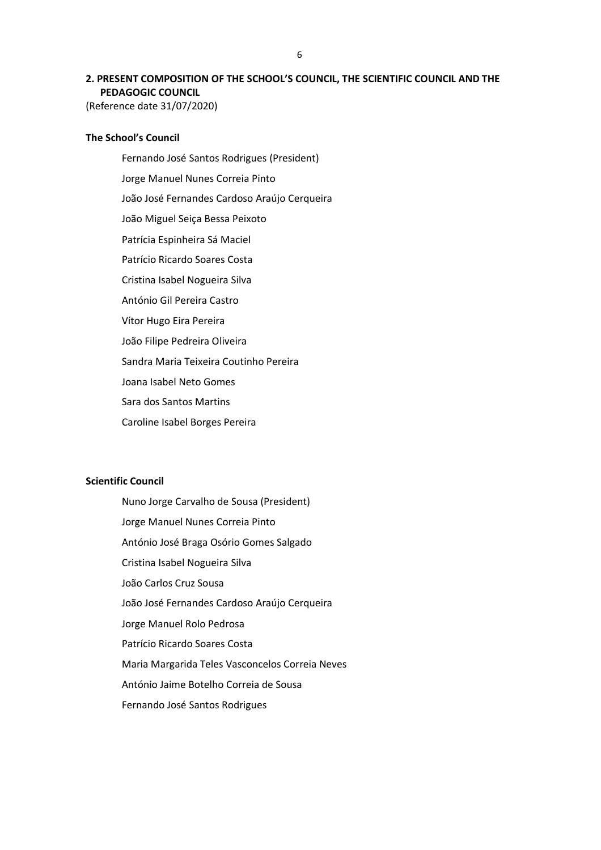# **2. PRESENT COMPOSITION OF THE SCHOOL'S COUNCIL, THE SCIENTIFIC COUNCIL AND THE PEDAGOGIC COUNCIL**

(Reference date 31/07/2020)

## **The School's Council**

Fernando José Santos Rodrigues (President) Jorge Manuel Nunes Correia Pinto João José Fernandes Cardoso Araújo Cerqueira João Miguel Seiça Bessa Peixoto Patrícia Espinheira Sá Maciel Patrício Ricardo Soares Costa Cristina Isabel Nogueira Silva António Gil Pereira Castro Vítor Hugo Eira Pereira João Filipe Pedreira Oliveira Sandra Maria Teixeira Coutinho Pereira Joana Isabel Neto Gomes Sara dos Santos Martins Caroline Isabel Borges Pereira

## **Scientific Council**

Nuno Jorge Carvalho de Sousa (President) Jorge Manuel Nunes Correia Pinto António José Braga Osório Gomes Salgado Cristina Isabel Nogueira Silva João Carlos Cruz Sousa João José Fernandes Cardoso Araújo Cerqueira Jorge Manuel Rolo Pedrosa Patrício Ricardo Soares Costa Maria Margarida Teles Vasconcelos Correia Neves António Jaime Botelho Correia de Sousa Fernando José Santos Rodrigues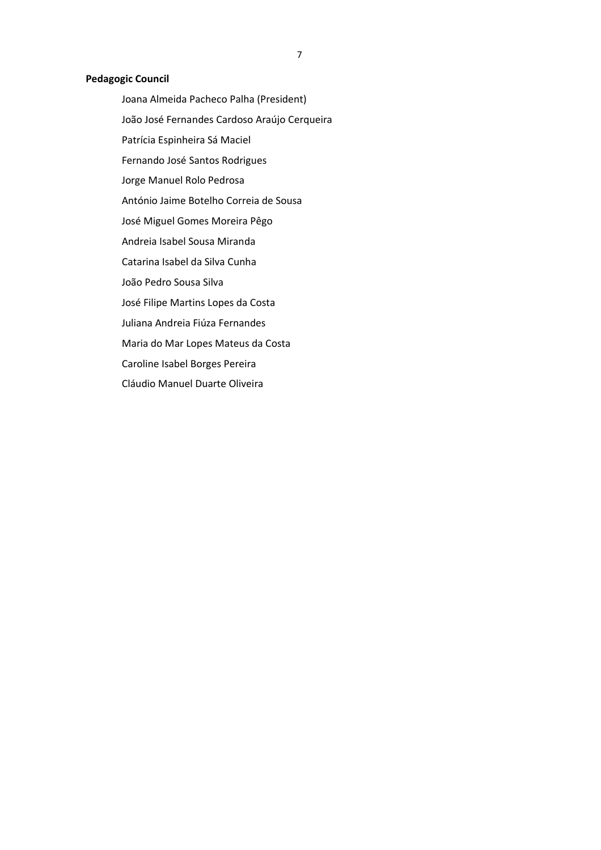## **Pedagogic Council**

Joana Almeida Pacheco Palha (President) João José Fernandes Cardoso Araújo Cerqueira Patrícia Espinheira Sá Maciel Fernando José Santos Rodrigues Jorge Manuel Rolo Pedrosa António Jaime Botelho Correia de Sousa José Miguel Gomes Moreira Pêgo Andreia Isabel Sousa Miranda Catarina Isabel da Silva Cunha João Pedro Sousa Silva José Filipe Martins Lopes da Costa Juliana Andreia Fiúza Fernandes Maria do Mar Lopes Mateus da Costa Caroline Isabel Borges Pereira Cláudio Manuel Duarte Oliveira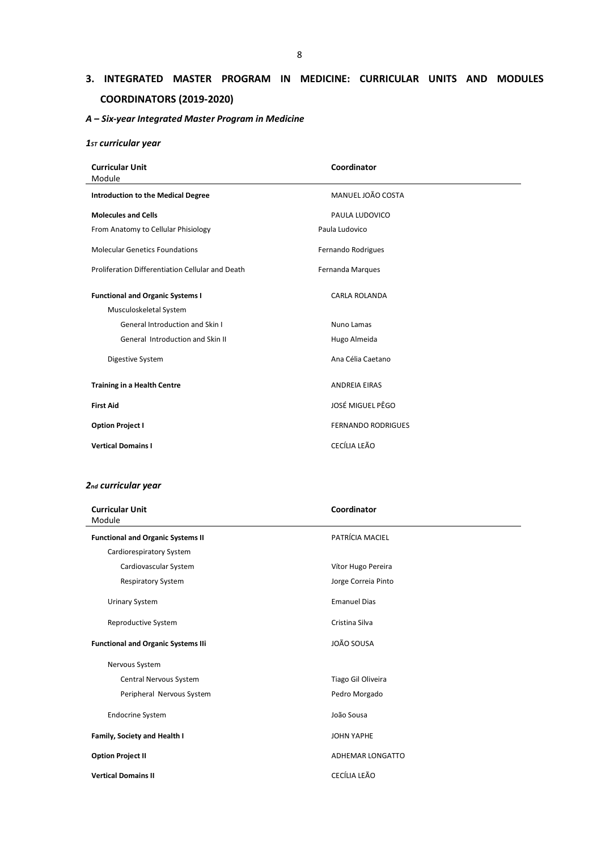# **3. INTEGRATED MASTER PROGRAM IN MEDICINE: CURRICULAR UNITS AND MODULES COORDINATORS (2019-2020)**

## *A – Six-year Integrated Master Program in Medicine*

## *1ST curricular year*

| <b>Curricular Unit</b><br>Module                                  | Coordinator               |  |
|-------------------------------------------------------------------|---------------------------|--|
| <b>Introduction to the Medical Degree</b>                         | MANUEL JOÃO COSTA         |  |
| <b>Molecules and Cells</b>                                        | PAULA LUDOVICO            |  |
| From Anatomy to Cellular Phisiology                               | Paula Ludovico            |  |
| <b>Molecular Genetics Foundations</b>                             | Fernando Rodrigues        |  |
| Proliferation Differentiation Cellular and Death                  | Fernanda Marques          |  |
| <b>Functional and Organic Systems I</b><br>Musculoskeletal System | <b>CARLA ROLANDA</b>      |  |
| <b>General Introduction and Skin I</b>                            | Nuno Lamas                |  |
| General Introduction and Skin II                                  | Hugo Almeida              |  |
| Digestive System                                                  | Ana Célia Caetano         |  |
| <b>Training in a Health Centre</b>                                | <b>ANDREIA EIRAS</b>      |  |
| <b>First Aid</b>                                                  | JOSÉ MIGUEL PÊGO          |  |
| <b>Option Project I</b>                                           | <b>FERNANDO RODRIGUES</b> |  |
| <b>Vertical Domains I</b>                                         | CECÍLIA LEÃO              |  |

## *2nd curricular year*

| <b>Curricular Unit</b><br>Module          | Coordinator         |
|-------------------------------------------|---------------------|
| <b>Functional and Organic Systems II</b>  | PATRÍCIA MACIEL     |
| Cardiorespiratory System                  |                     |
| Cardiovascular System                     | Vítor Hugo Pereira  |
| <b>Respiratory System</b>                 | Jorge Correia Pinto |
| <b>Urinary System</b>                     | <b>Emanuel Dias</b> |
| Reproductive System                       | Cristina Silva      |
| <b>Functional and Organic Systems IIi</b> | JOÃO SOUSA          |
| Nervous System                            |                     |
| Central Nervous System                    | Tiago Gil Oliveira  |
| Peripheral Nervous System                 | Pedro Morgado       |
| <b>Endocrine System</b>                   | João Sousa          |
| Family, Society and Health I              | <b>JOHN YAPHE</b>   |
| <b>Option Project II</b>                  | ADHEMAR LONGATTO    |
| <b>Vertical Domains II</b>                | CECÍLIA LEÃO        |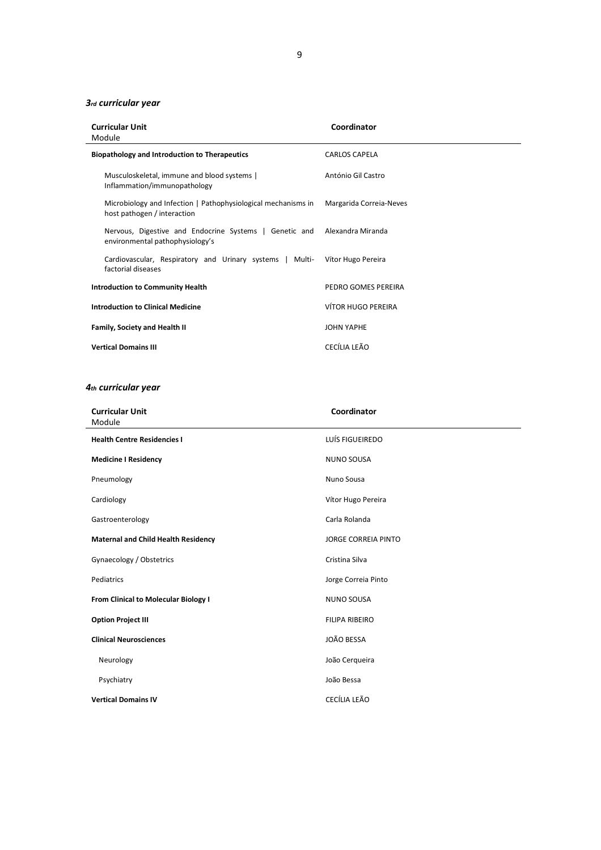## *3rd curricular year*

| <b>Curricular Unit</b><br>Module                                                             | Coordinator               |
|----------------------------------------------------------------------------------------------|---------------------------|
| <b>Biopathology and Introduction to Therapeutics</b>                                         | <b>CARLOS CAPELA</b>      |
| Musculoskeletal, immune and blood systems  <br>Inflammation/immunopathology                  | António Gil Castro        |
| Microbiology and Infection   Pathophysiological mechanisms in<br>host pathogen / interaction | Margarida Correia-Neves   |
| Nervous, Digestive and Endocrine Systems   Genetic and<br>environmental pathophysiology's    | Alexandra Miranda         |
| Cardiovascular, Respiratory and Urinary systems   Multi-<br>factorial diseases               | Vítor Hugo Pereira        |
| <b>Introduction to Community Health</b>                                                      | PEDRO GOMES PEREIRA       |
| <b>Introduction to Clinical Medicine</b>                                                     | <b>VÍTOR HUGO PEREIRA</b> |
| Family, Society and Health II                                                                | <b>JOHN YAPHE</b>         |
| <b>Vertical Domains III</b>                                                                  | CECÍLIA LEÃO              |

## *4th curricular year*

| <b>Curricular Unit</b><br>Module           | Coordinator                |  |
|--------------------------------------------|----------------------------|--|
| <b>Health Centre Residencies I</b>         | LUÍS FIGUEIREDO            |  |
| <b>Medicine I Residency</b>                | <b>NUNO SOUSA</b>          |  |
| Pneumology                                 | Nuno Sousa                 |  |
| Cardiology                                 | Vítor Hugo Pereira         |  |
| Gastroenterology                           | Carla Rolanda              |  |
| <b>Maternal and Child Health Residency</b> | <b>JORGE CORREIA PINTO</b> |  |
| Gynaecology / Obstetrics                   | Cristina Silva             |  |
| Pediatrics                                 | Jorge Correia Pinto        |  |
| From Clinical to Molecular Biology I       | <b>NUNO SOUSA</b>          |  |
| <b>Option Project III</b>                  | <b>FILIPA RIBEIRO</b>      |  |
| <b>Clinical Neurosciences</b>              | JOÃO BESSA                 |  |
| Neurology                                  | João Cerqueira             |  |
| Psychiatry                                 | João Bessa                 |  |
| <b>Vertical Domains IV</b>                 | CECÍLIA LEÃO               |  |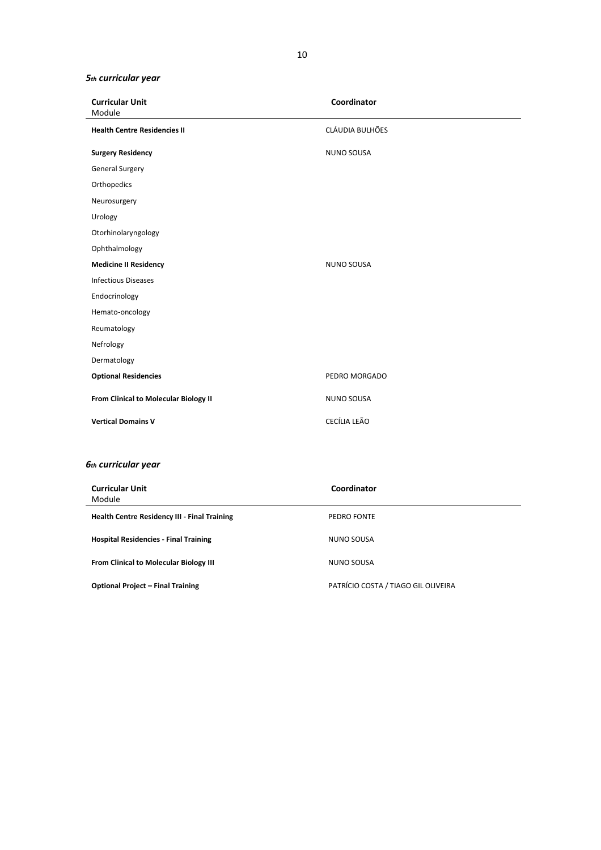## *5th curricular year*

| <b>Curricular Unit</b><br>Module                    | Coordinator                         |
|-----------------------------------------------------|-------------------------------------|
| <b>Health Centre Residencies II</b>                 | CLÁUDIA BULHÕES                     |
| <b>Surgery Residency</b>                            | <b>NUNO SOUSA</b>                   |
| <b>General Surgery</b>                              |                                     |
| Orthopedics                                         |                                     |
| Neurosurgery                                        |                                     |
| Urology                                             |                                     |
| Otorhinolaryngology                                 |                                     |
| Ophthalmology                                       |                                     |
| <b>Medicine II Residency</b>                        | <b>NUNO SOUSA</b>                   |
| <b>Infectious Diseases</b>                          |                                     |
| Endocrinology                                       |                                     |
| Hemato-oncology                                     |                                     |
| Reumatology                                         |                                     |
| Nefrology                                           |                                     |
| Dermatology                                         |                                     |
| <b>Optional Residencies</b>                         | PEDRO MORGADO                       |
| From Clinical to Molecular Biology II               | <b>NUNO SOUSA</b>                   |
| <b>Vertical Domains V</b>                           | CECÍLIA LEÃO                        |
| <b>6th curricular year</b>                          |                                     |
| <b>Curricular Unit</b><br>Module                    | Coordinator                         |
| <b>Health Centre Residency III - Final Training</b> | PEDRO FONTE                         |
| <b>Hospital Residencies - Final Training</b>        | <b>NUNO SOUSA</b>                   |
| From Clinical to Molecular Biology III              | <b>NUNO SOUSA</b>                   |
| <b>Optional Project - Final Training</b>            | PATRÍCIO COSTA / TIAGO GIL OLIVEIRA |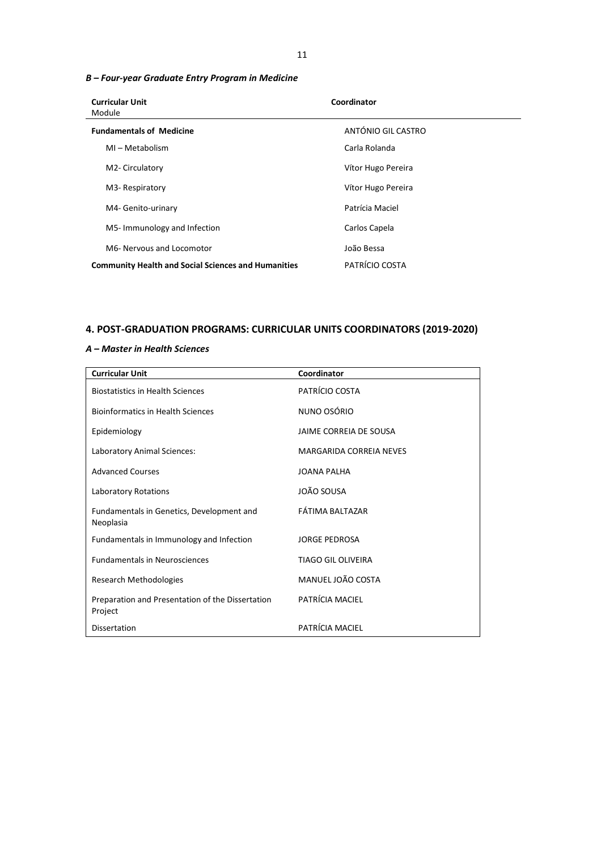## *B – Four-year Graduate Entry Program in Medicine*

| <b>Curricular Unit</b><br>Module                           | Coordinator        |
|------------------------------------------------------------|--------------------|
| <b>Fundamentals of Medicine</b>                            | ANTÓNIO GIL CASTRO |
| MI-Metabolism                                              | Carla Rolanda      |
| M2- Circulatory                                            | Vítor Hugo Pereira |
| M3- Respiratory                                            | Vítor Hugo Pereira |
| M4- Genito-urinary                                         | Patrícia Maciel    |
| M5-Immunology and Infection                                | Carlos Capela      |
| M6- Nervous and Locomotor                                  | João Bessa         |
| <b>Community Health and Social Sciences and Humanities</b> | PATRÍCIO COSTA     |

# **4. POST-GRADUATION PROGRAMS: CURRICULAR UNITS COORDINATORS (2019-2020)**

## *A – Master in Health Sciences*

| <b>Curricular Unit</b>                                      | Coordinator               |
|-------------------------------------------------------------|---------------------------|
| <b>Biostatistics in Health Sciences</b>                     | PATRÍCIO COSTA            |
| <b>Bioinformatics in Health Sciences</b>                    | NUNO OSÓRIO               |
| Epidemiology                                                | JAIME CORREIA DE SOUSA    |
| Laboratory Animal Sciences:                                 | MARGARIDA CORREIA NEVES   |
| <b>Advanced Courses</b>                                     | <b>JOANA PALHA</b>        |
| <b>Laboratory Rotations</b>                                 | JOÃO SOUSA                |
| Fundamentals in Genetics, Development and<br>Neoplasia      | FÁTIMA BALTAZAR           |
| Fundamentals in Immunology and Infection                    | <b>JORGE PEDROSA</b>      |
| <b>Fundamentals in Neurosciences</b>                        | <b>TIAGO GIL OLIVEIRA</b> |
| Research Methodologies                                      | MANUEL JOÃO COSTA         |
| Preparation and Presentation of the Dissertation<br>Project | PATRÍCIA MACIEL           |
| Dissertation                                                | PATRÍCIA MACIEL           |